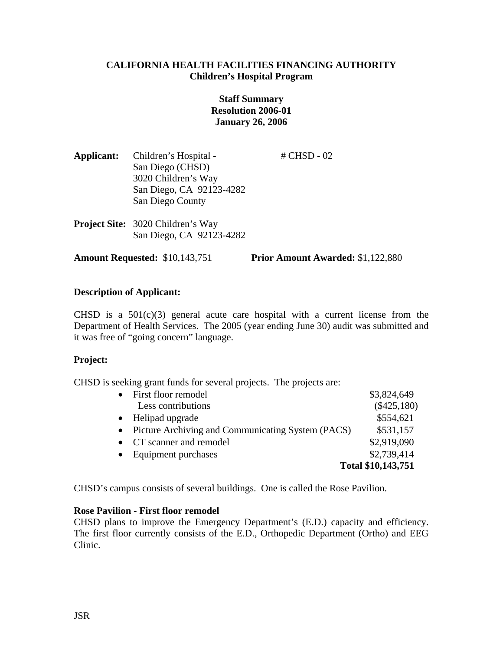# **CALIFORNIA HEALTH FACILITIES FINANCING AUTHORITY Children's Hospital Program**

# **Staff Summary Resolution 2006-01 January 26, 2006**

- **Applicant:** Children's Hospital # CHSD 02 San Diego (CHSD) 3020 Children's Way San Diego, CA 92123-4282 San Diego County
- **Project Site:** 3020 Children's Way San Diego, CA 92123-4282

**Amount Requested:** \$10,143,751 **Prior Amount Awarded:** \$1,122,880

# **Description of Applicant:**

CHSD is a  $501(c)(3)$  general acute care hospital with a current license from the Department of Health Services. The 2005 (year ending June 30) audit was submitted and it was free of "going concern" language.

### **Project:**

CHSD is seeking grant funds for several projects. The projects are:

| $\bullet$ | First floor remodel                                 | \$3,824,649        |
|-----------|-----------------------------------------------------|--------------------|
|           | Less contributions                                  | $(\$425,180)$      |
| $\bullet$ | Helipad upgrade                                     | \$554,621          |
|           | • Picture Archiving and Communicating System (PACS) | \$531,157          |
|           | • CT scanner and remodel                            | \$2,919,090        |
| $\bullet$ | Equipment purchases                                 | \$2,739,414        |
|           |                                                     | Total \$10,143,751 |

CHSD's campus consists of several buildings. One is called the Rose Pavilion.

### **Rose Pavilion - First floor remodel**

CHSD plans to improve the Emergency Department's (E.D.) capacity and efficiency. The first floor currently consists of the E.D., Orthopedic Department (Ortho) and EEG Clinic.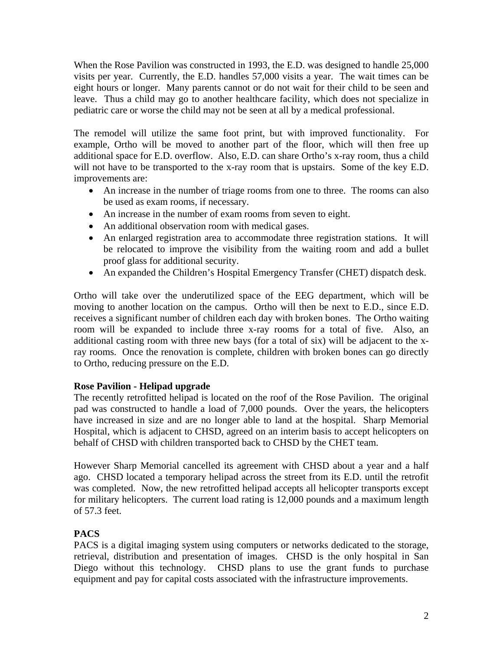When the Rose Pavilion was constructed in 1993, the E.D. was designed to handle 25,000 visits per year. Currently, the E.D. handles 57,000 visits a year. The wait times can be eight hours or longer. Many parents cannot or do not wait for their child to be seen and leave. Thus a child may go to another healthcare facility, which does not specialize in pediatric care or worse the child may not be seen at all by a medical professional.

The remodel will utilize the same foot print, but with improved functionality. For example, Ortho will be moved to another part of the floor, which will then free up additional space for E.D. overflow. Also, E.D. can share Ortho's x-ray room, thus a child will not have to be transported to the x-ray room that is upstairs. Some of the key E.D. improvements are:

- An increase in the number of triage rooms from one to three. The rooms can also be used as exam rooms, if necessary.
- An increase in the number of exam rooms from seven to eight.
- An additional observation room with medical gases.
- An enlarged registration area to accommodate three registration stations. It will be relocated to improve the visibility from the waiting room and add a bullet proof glass for additional security.
- An expanded the Children's Hospital Emergency Transfer (CHET) dispatch desk.

Ortho will take over the underutilized space of the EEG department, which will be moving to another location on the campus. Ortho will then be next to E.D., since E.D. receives a significant number of children each day with broken bones. The Ortho waiting room will be expanded to include three x-ray rooms for a total of five. Also, an additional casting room with three new bays (for a total of six) will be adjacent to the xray rooms. Once the renovation is complete, children with broken bones can go directly to Ortho, reducing pressure on the E.D.

# **Rose Pavilion - Helipad upgrade**

The recently retrofitted helipad is located on the roof of the Rose Pavilion. The original pad was constructed to handle a load of 7,000 pounds. Over the years, the helicopters have increased in size and are no longer able to land at the hospital. Sharp Memorial Hospital, which is adjacent to CHSD, agreed on an interim basis to accept helicopters on behalf of CHSD with children transported back to CHSD by the CHET team.

However Sharp Memorial cancelled its agreement with CHSD about a year and a half ago. CHSD located a temporary helipad across the street from its E.D. until the retrofit was completed. Now, the new retrofitted helipad accepts all helicopter transports except for military helicopters. The current load rating is 12,000 pounds and a maximum length of 57.3 feet.

# **PACS**

PACS is a digital imaging system using computers or networks dedicated to the storage, retrieval, distribution and presentation of images. CHSD is the only hospital in San Diego without this technology. CHSD plans to use the grant funds to purchase equipment and pay for capital costs associated with the infrastructure improvements.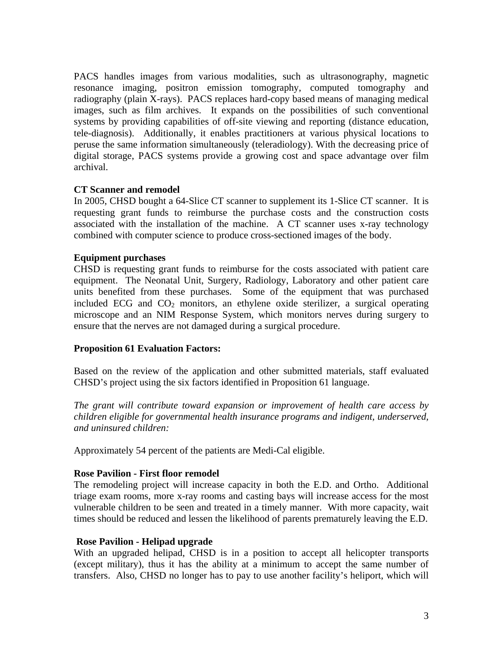PACS handles images from various modalities, such as ultrasonography, magnetic resonance imaging, positron emission tomography, computed tomography and radiography (plain X-rays). PACS replaces hard-copy based means of managing medical images, such as film archives. It expands on the possibilities of such conventional systems by providing capabilities of off-site viewing and reporting (distance education, tele-diagnosis). Additionally, it enables practitioners at various physical locations to peruse the same information simultaneously (teleradiology). With the decreasing price of digital storage, PACS systems provide a growing cost and space advantage over film archival.

# **CT Scanner and remodel**

In 2005, CHSD bought a 64-Slice CT scanner to supplement its 1-Slice CT scanner. It is requesting grant funds to reimburse the purchase costs and the construction costs associated with the installation of the machine. A CT scanner uses x-ray technology combined with computer science to produce cross-sectioned images of the body.

### **Equipment purchases**

CHSD is requesting grant funds to reimburse for the costs associated with patient care equipment. The Neonatal Unit, Surgery, Radiology, Laboratory and other patient care units benefited from these purchases. Some of the equipment that was purchased included ECG and  $CO<sub>2</sub>$  monitors, an ethylene oxide sterilizer, a surgical operating microscope and an NIM Response System, which monitors nerves during surgery to ensure that the nerves are not damaged during a surgical procedure.

### **Proposition 61 Evaluation Factors:**

Based on the review of the application and other submitted materials, staff evaluated CHSD's project using the six factors identified in Proposition 61 language.

*The grant will contribute toward expansion or improvement of health care access by children eligible for governmental health insurance programs and indigent, underserved, and uninsured children:* 

Approximately 54 percent of the patients are Medi-Cal eligible.

### **Rose Pavilion - First floor remodel**

The remodeling project will increase capacity in both the E.D. and Ortho. Additional triage exam rooms, more x-ray rooms and casting bays will increase access for the most vulnerable children to be seen and treated in a timely manner. With more capacity, wait times should be reduced and lessen the likelihood of parents prematurely leaving the E.D.

### **Rose Pavilion - Helipad upgrade**

With an upgraded helipad, CHSD is in a position to accept all helicopter transports (except military), thus it has the ability at a minimum to accept the same number of transfers. Also, CHSD no longer has to pay to use another facility's heliport, which will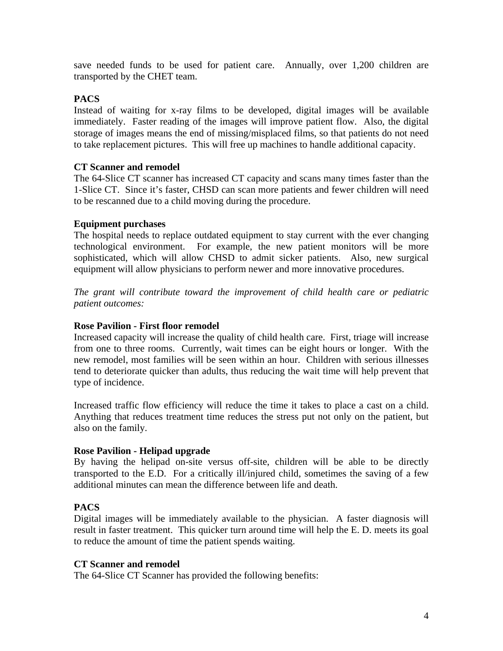save needed funds to be used for patient care. Annually, over 1,200 children are transported by the CHET team.

# **PACS**

Instead of waiting for x-ray films to be developed, digital images will be available immediately. Faster reading of the images will improve patient flow. Also, the digital storage of images means the end of missing/misplaced films, so that patients do not need to take replacement pictures. This will free up machines to handle additional capacity.

## **CT Scanner and remodel**

The 64-Slice CT scanner has increased CT capacity and scans many times faster than the 1-Slice CT. Since it's faster, CHSD can scan more patients and fewer children will need to be rescanned due to a child moving during the procedure.

# **Equipment purchases**

The hospital needs to replace outdated equipment to stay current with the ever changing technological environment. For example, the new patient monitors will be more sophisticated, which will allow CHSD to admit sicker patients. Also, new surgical equipment will allow physicians to perform newer and more innovative procedures.

*The grant will contribute toward the improvement of child health care or pediatric patient outcomes:* 

## **Rose Pavilion - First floor remodel**

Increased capacity will increase the quality of child health care. First, triage will increase from one to three rooms. Currently, wait times can be eight hours or longer. With the new remodel, most families will be seen within an hour. Children with serious illnesses tend to deteriorate quicker than adults, thus reducing the wait time will help prevent that type of incidence.

Increased traffic flow efficiency will reduce the time it takes to place a cast on a child. Anything that reduces treatment time reduces the stress put not only on the patient, but also on the family.

### **Rose Pavilion - Helipad upgrade**

By having the helipad on-site versus off-site, children will be able to be directly transported to the E.D. For a critically ill/injured child, sometimes the saving of a few additional minutes can mean the difference between life and death.

## **PACS**

Digital images will be immediately available to the physician. A faster diagnosis will result in faster treatment. This quicker turn around time will help the E. D. meets its goal to reduce the amount of time the patient spends waiting.

### **CT Scanner and remodel**

The 64-Slice CT Scanner has provided the following benefits: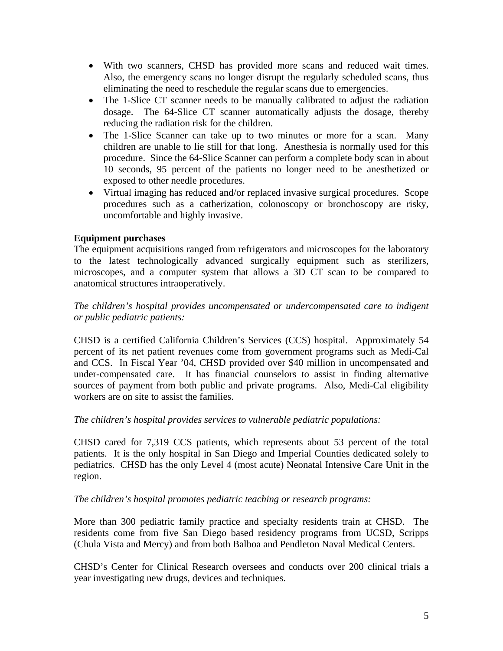- With two scanners, CHSD has provided more scans and reduced wait times. Also, the emergency scans no longer disrupt the regularly scheduled scans, thus eliminating the need to reschedule the regular scans due to emergencies.
- The 1-Slice CT scanner needs to be manually calibrated to adjust the radiation dosage. The 64-Slice CT scanner automatically adjusts the dosage, thereby reducing the radiation risk for the children.
- The 1-Slice Scanner can take up to two minutes or more for a scan. Many children are unable to lie still for that long. Anesthesia is normally used for this procedure. Since the 64-Slice Scanner can perform a complete body scan in about 10 seconds, 95 percent of the patients no longer need to be anesthetized or exposed to other needle procedures.
- Virtual imaging has reduced and/or replaced invasive surgical procedures. Scope procedures such as a catherization, colonoscopy or bronchoscopy are risky, uncomfortable and highly invasive.

# **Equipment purchases**

The equipment acquisitions ranged from refrigerators and microscopes for the laboratory to the latest technologically advanced surgically equipment such as sterilizers, microscopes, and a computer system that allows a 3D CT scan to be compared to anatomical structures intraoperatively.

*The children's hospital provides uncompensated or undercompensated care to indigent or public pediatric patients:* 

CHSD is a certified California Children's Services (CCS) hospital. Approximately 54 percent of its net patient revenues come from government programs such as Medi-Cal and CCS. In Fiscal Year '04, CHSD provided over \$40 million in uncompensated and under-compensated care. It has financial counselors to assist in finding alternative sources of payment from both public and private programs. Also, Medi-Cal eligibility workers are on site to assist the families.

# *The children's hospital provides services to vulnerable pediatric populations:*

CHSD cared for 7,319 CCS patients, which represents about 53 percent of the total patients. It is the only hospital in San Diego and Imperial Counties dedicated solely to pediatrics. CHSD has the only Level 4 (most acute) Neonatal Intensive Care Unit in the region.

### *The children's hospital promotes pediatric teaching or research programs:*

More than 300 pediatric family practice and specialty residents train at CHSD. The residents come from five San Diego based residency programs from UCSD, Scripps (Chula Vista and Mercy) and from both Balboa and Pendleton Naval Medical Centers.

CHSD's Center for Clinical Research oversees and conducts over 200 clinical trials a year investigating new drugs, devices and techniques.